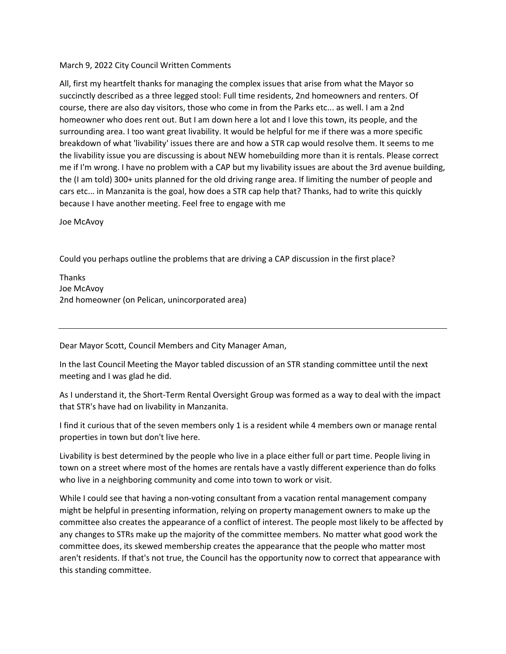## March 9, 2022 City Council Written Comments

All, first my heartfelt thanks for managing the complex issues that arise from what the Mayor so succinctly described as a three legged stool: Full time residents, 2nd homeowners and renters. Of course, there are also day visitors, those who come in from the Parks etc... as well. I am a 2nd homeowner who does rent out. But I am down here a lot and I love this town, its people, and the surrounding area. I too want great livability. It would be helpful for me if there was a more specific breakdown of what 'livability' issues there are and how a STR cap would resolve them. It seems to me the livability issue you are discussing is about NEW homebuilding more than it is rentals. Please correct me if I'm wrong. I have no problem with a CAP but my livability issues are about the 3rd avenue building, the (I am told) 300+ units planned for the old driving range area. If limiting the number of people and cars etc... in Manzanita is the goal, how does a STR cap help that? Thanks, had to write this quickly because I have another meeting. Feel free to engage with me

Joe McAvoy

Could you perhaps outline the problems that are driving a CAP discussion in the first place?

Thanks Joe McAvoy 2nd homeowner (on Pelican, unincorporated area)

Dear Mayor Scott, Council Members and City Manager Aman,

In the last Council Meeting the Mayor tabled discussion of an STR standing committee until the next meeting and I was glad he did.

As I understand it, the Short-Term Rental Oversight Group was formed as a way to deal with the impact that STR's have had on livability in Manzanita.

I find it curious that of the seven members only 1 is a resident while 4 members own or manage rental properties in town but don't live here.

Livability is best determined by the people who live in a place either full or part time. People living in town on a street where most of the homes are rentals have a vastly different experience than do folks who live in a neighboring community and come into town to work or visit.

While I could see that having a non-voting consultant from a vacation rental management company might be helpful in presenting information, relying on property management owners to make up the committee also creates the appearance of a conflict of interest. The people most likely to be affected by any changes to STRs make up the majority of the committee members. No matter what good work the committee does, its skewed membership creates the appearance that the people who matter most aren't residents. If that's not true, the Council has the opportunity now to correct that appearance with this standing committee.